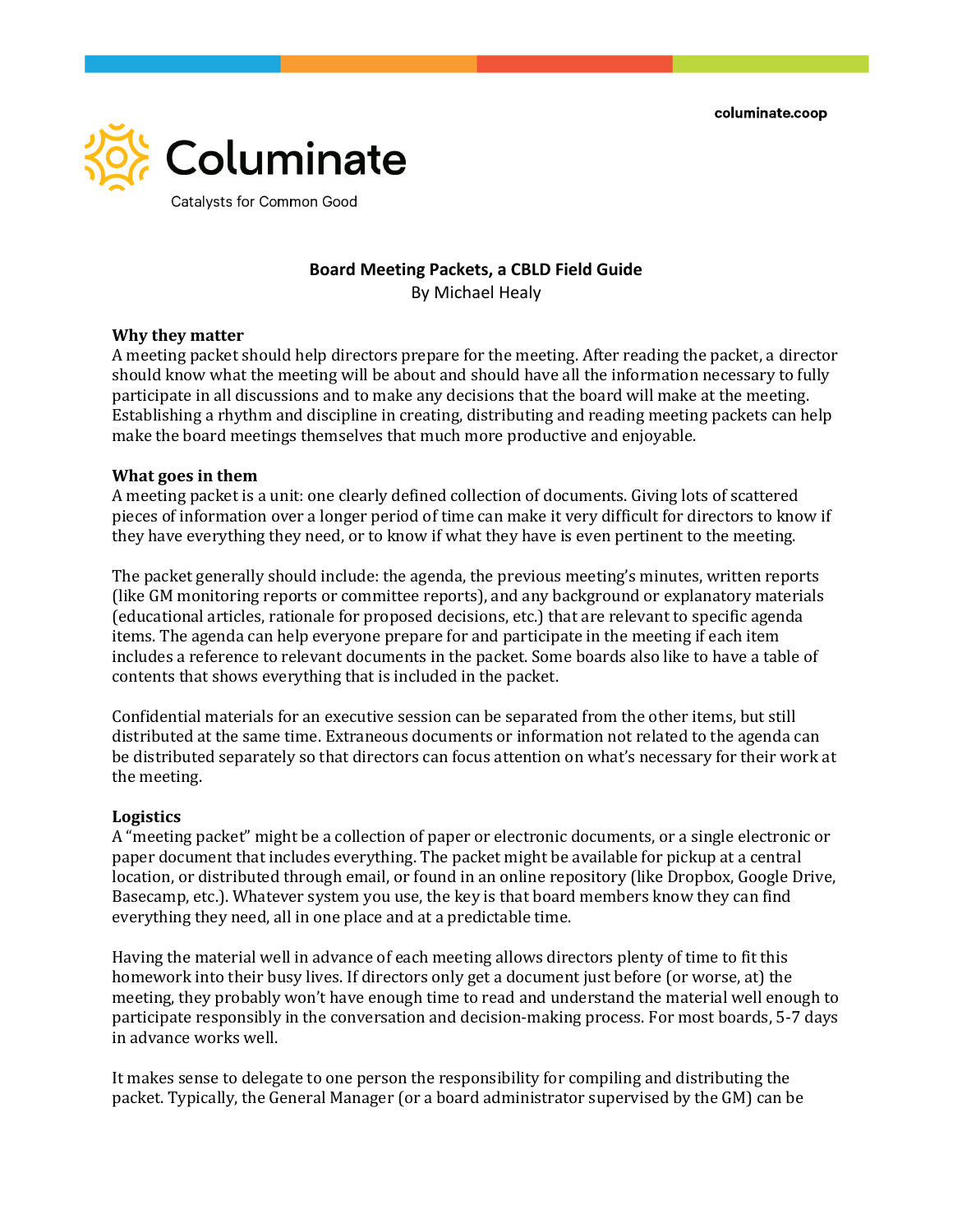columinate.coop



# **Board Meeting Packets, a CBLD Field Guide**

By Michael Healy

### **Why they matter**

A meeting packet should help directors prepare for the meeting. After reading the packet, a director should know what the meeting will be about and should have all the information necessary to fully participate in all discussions and to make any decisions that the board will make at the meeting. Establishing a rhythm and discipline in creating, distributing and reading meeting packets can help make the board meetings themselves that much more productive and enjoyable.

## **What goes in them**

A meeting packet is a unit: one clearly defined collection of documents. Giving lots of scattered pieces of information over a longer period of time can make it very difficult for directors to know if they have everything they need, or to know if what they have is even pertinent to the meeting.

The packet generally should include: the agenda, the previous meeting's minutes, written reports (like GM monitoring reports or committee reports), and any background or explanatory materials (educational articles, rationale for proposed decisions, etc.) that are relevant to specific agenda items. The agenda can help everyone prepare for and participate in the meeting if each item includes a reference to relevant documents in the packet. Some boards also like to have a table of contents that shows everything that is included in the packet.

Confidential materials for an executive session can be separated from the other items, but still distributed at the same time. Extraneous documents or information not related to the agenda can be distributed separately so that directors can focus attention on what's necessary for their work at the meeting.

### **Logistics**

A "meeting packet" might be a collection of paper or electronic documents, or a single electronic or paper document that includes everything. The packet might be available for pickup at a central location, or distributed through email, or found in an online repository (like Dropbox, Google Drive, Basecamp, etc.). Whatever system you use, the key is that board members know they can find everything they need, all in one place and at a predictable time.

Having the material well in advance of each meeting allows directors plenty of time to fit this homework into their busy lives. If directors only get a document just before (or worse, at) the meeting, they probably won't have enough time to read and understand the material well enough to participate responsibly in the conversation and decision-making process. For most boards, 5-7 days in advance works well.

It makes sense to delegate to one person the responsibility for compiling and distributing the packet. Typically, the General Manager (or a board administrator supervised by the GM) can be